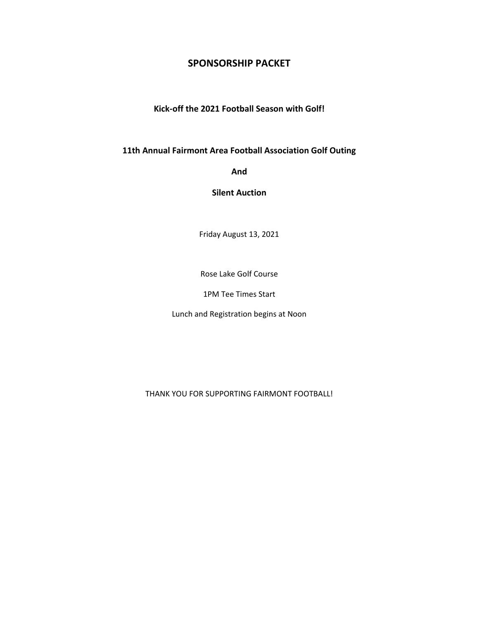## **SPONSORSHIP PACKET**

**Kick-off the 2021 Football Season with Golf!**

**11th Annual Fairmont Area Football Association Golf Outing**

**And**

**Silent Auction**

Friday August 13, 2021

Rose Lake Golf Course

1PM Tee Times Start

Lunch and Registration begins at Noon

THANK YOU FOR SUPPORTING FAIRMONT FOOTBALL!